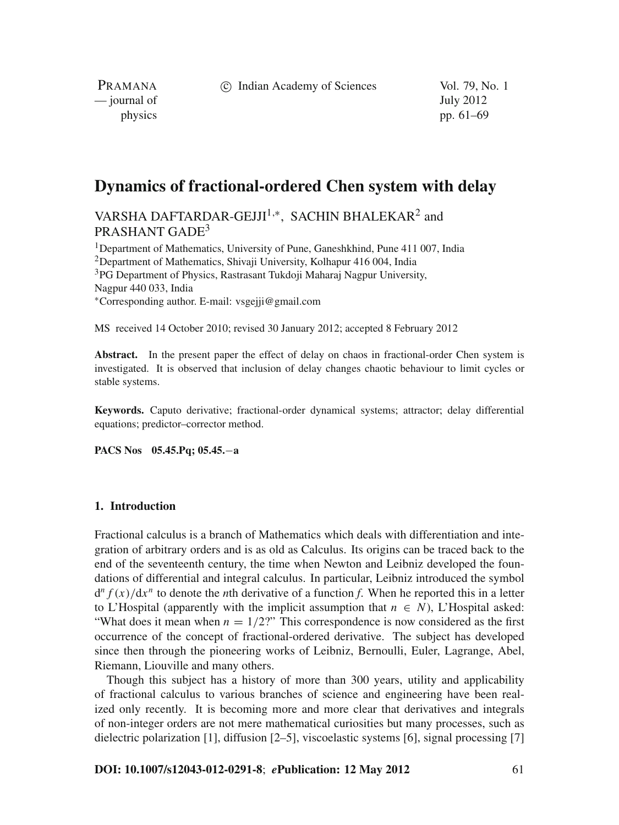c Indian Academy of Sciences Vol. 79, No. 1

PRAMANA — journal of July 2012

physics pp. 61–69

# **Dynamics of fractional-ordered Chen system with delay**

VARSHA DAFTARDAR-GEJJI<sup>1,\*</sup>, SACHIN BHALEKAR<sup>2</sup> and PRASHANT GADE<sup>3</sup>

<sup>1</sup>Department of Mathematics, University of Pune, Ganeshkhind, Pune 411 007, India 2Department of Mathematics, Shivaji University, Kolhapur 416 004, India <sup>3</sup>PG Department of Physics, Rastrasant Tukdoji Maharaj Nagpur University, Nagpur 440 033, India <sup>∗</sup>Corresponding author. E-mail: vsgejji@gmail.com

MS received 14 October 2010; revised 30 January 2012; accepted 8 February 2012

**Abstract.** In the present paper the effect of delay on chaos in fractional-order Chen system is investigated. It is observed that inclusion of delay changes chaotic behaviour to limit cycles or stable systems.

**Keywords.** Caputo derivative; fractional-order dynamical systems; attractor; delay differential equations; predictor–corrector method.

**PACS Nos 05.45.Pq; 05.45.**−**a**

## **1. Introduction**

Fractional calculus is a branch of Mathematics which deals with differentiation and integration of arbitrary orders and is as old as Calculus. Its origins can be traced back to the end of the seventeenth century, the time when Newton and Leibniz developed the foundations of differential and integral calculus. In particular, Leibniz introduced the symbol  $d^n f(x)/dx^n$  to denote the *n*th derivative of a function *f*. When he reported this in a letter to L'Hospital (apparently with the implicit assumption that  $n \in N$ ), L'Hospital asked: "What does it mean when  $n = 1/2$ ?" This correspondence is now considered as the first occurrence of the concept of fractional-ordered derivative. The subject has developed since then through the pioneering works of Leibniz, Bernoulli, Euler, Lagrange, Abel, Riemann, Liouville and many others.

Though this subject has a history of more than 300 years, utility and applicability of fractional calculus to various branches of science and engineering have been realized only recently. It is becoming more and more clear that derivatives and integrals of non-integer orders are not mere mathematical curiosities but many processes, such as dielectric polarization [1], diffusion [2–5], viscoelastic systems [6], signal processing [7]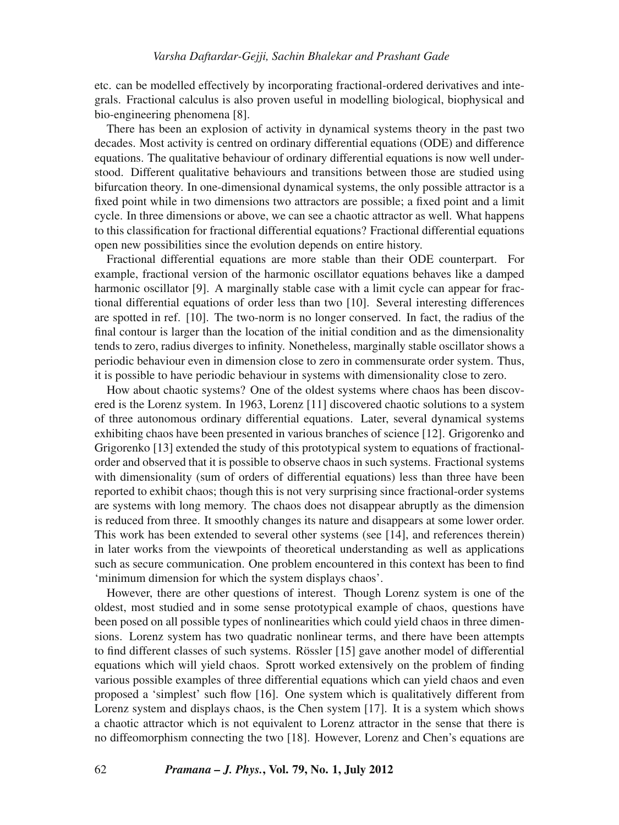etc. can be modelled effectively by incorporating fractional-ordered derivatives and integrals. Fractional calculus is also proven useful in modelling biological, biophysical and bio-engineering phenomena [8].

There has been an explosion of activity in dynamical systems theory in the past two decades. Most activity is centred on ordinary differential equations (ODE) and difference equations. The qualitative behaviour of ordinary differential equations is now well understood. Different qualitative behaviours and transitions between those are studied using bifurcation theory. In one-dimensional dynamical systems, the only possible attractor is a fixed point while in two dimensions two attractors are possible; a fixed point and a limit cycle. In three dimensions or above, we can see a chaotic attractor as well. What happens to this classification for fractional differential equations? Fractional differential equations open new possibilities since the evolution depends on entire history.

Fractional differential equations are more stable than their ODE counterpart. For example, fractional version of the harmonic oscillator equations behaves like a damped harmonic oscillator [9]. A marginally stable case with a limit cycle can appear for fractional differential equations of order less than two [10]. Several interesting differences are spotted in ref. [10]. The two-norm is no longer conserved. In fact, the radius of the final contour is larger than the location of the initial condition and as the dimensionality tends to zero, radius diverges to infinity. Nonetheless, marginally stable oscillator shows a periodic behaviour even in dimension close to zero in commensurate order system. Thus, it is possible to have periodic behaviour in systems with dimensionality close to zero.

How about chaotic systems? One of the oldest systems where chaos has been discovered is the Lorenz system. In 1963, Lorenz [11] discovered chaotic solutions to a system of three autonomous ordinary differential equations. Later, several dynamical systems exhibiting chaos have been presented in various branches of science [12]. Grigorenko and Grigorenko [13] extended the study of this prototypical system to equations of fractionalorder and observed that it is possible to observe chaos in such systems. Fractional systems with dimensionality (sum of orders of differential equations) less than three have been reported to exhibit chaos; though this is not very surprising since fractional-order systems are systems with long memory. The chaos does not disappear abruptly as the dimension is reduced from three. It smoothly changes its nature and disappears at some lower order. This work has been extended to several other systems (see [14], and references therein) in later works from the viewpoints of theoretical understanding as well as applications such as secure communication. One problem encountered in this context has been to find 'minimum dimension for which the system displays chaos'.

However, there are other questions of interest. Though Lorenz system is one of the oldest, most studied and in some sense prototypical example of chaos, questions have been posed on all possible types of nonlinearities which could yield chaos in three dimensions. Lorenz system has two quadratic nonlinear terms, and there have been attempts to find different classes of such systems. Rössler [15] gave another model of differential equations which will yield chaos. Sprott worked extensively on the problem of finding various possible examples of three differential equations which can yield chaos and even proposed a 'simplest' such flow [16]. One system which is qualitatively different from Lorenz system and displays chaos, is the Chen system [17]. It is a system which shows a chaotic attractor which is not equivalent to Lorenz attractor in the sense that there is no diffeomorphism connecting the two [18]. However, Lorenz and Chen's equations are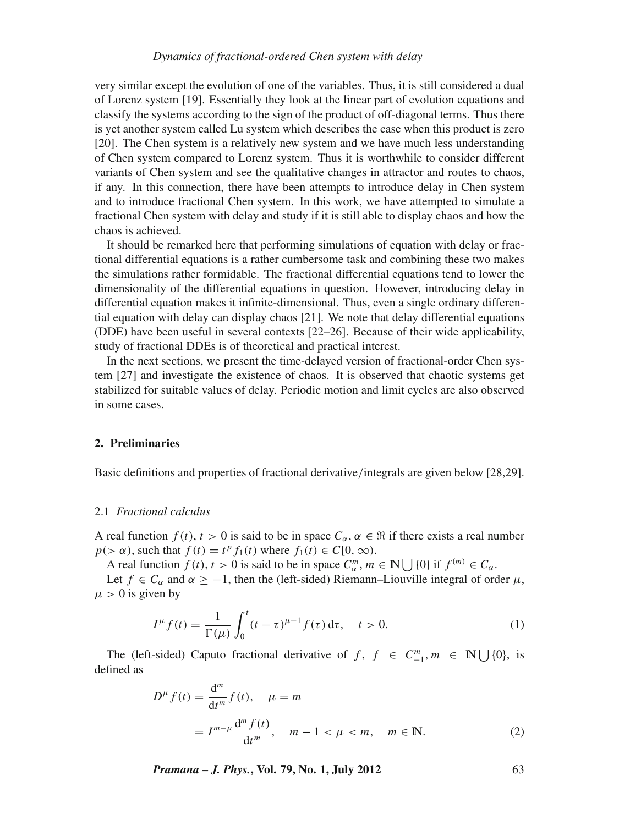## *Dynamics of fractional-ordered Chen system with delay*

very similar except the evolution of one of the variables. Thus, it is still considered a dual of Lorenz system [19]. Essentially they look at the linear part of evolution equations and classify the systems according to the sign of the product of off-diagonal terms. Thus there is yet another system called Lu system which describes the case when this product is zero [20]. The Chen system is a relatively new system and we have much less understanding of Chen system compared to Lorenz system. Thus it is worthwhile to consider different variants of Chen system and see the qualitative changes in attractor and routes to chaos, if any. In this connection, there have been attempts to introduce delay in Chen system and to introduce fractional Chen system. In this work, we have attempted to simulate a fractional Chen system with delay and study if it is still able to display chaos and how the chaos is achieved.

It should be remarked here that performing simulations of equation with delay or fractional differential equations is a rather cumbersome task and combining these two makes the simulations rather formidable. The fractional differential equations tend to lower the dimensionality of the differential equations in question. However, introducing delay in differential equation makes it infinite-dimensional. Thus, even a single ordinary differential equation with delay can display chaos [21]. We note that delay differential equations (DDE) have been useful in several contexts [22–26]. Because of their wide applicability, study of fractional DDEs is of theoretical and practical interest.

In the next sections, we present the time-delayed version of fractional-order Chen system [27] and investigate the existence of chaos. It is observed that chaotic systems get stabilized for suitable values of delay. Periodic motion and limit cycles are also observed in some cases.

### **2. Preliminaries**

Basic definitions and properties of fractional derivative/integrals are given below [28,29].

#### 2.1 *Fractional calculus*

A real function  $f(t)$ ,  $t > 0$  is said to be in space  $C_\alpha$ ,  $\alpha \in \Re$  if there exists a real number  $p(> \alpha)$ , such that  $f(t) = t^p f_1(t)$  where  $f_1(t) \in C[0, \infty)$ .

A real function  $f(t)$ ,  $t > 0$  is said to be in space  $C_{\alpha}^{m}$ ,  $m \in \mathbb{N} \cup \{0\}$  if  $f^{(m)} \in C_{\alpha}$ .

Let  $f \in C_\alpha$  and  $\alpha \ge -1$ , then the (left-sided) Riemann–Liouville integral of order  $\mu$ ,  $\mu > 0$  is given by

$$
I^{\mu} f(t) = \frac{1}{\Gamma(\mu)} \int_0^t (t - \tau)^{\mu - 1} f(\tau) d\tau, \quad t > 0.
$$
 (1)

The (left-sided) Caputo fractional derivative of  $f, f \in C^{m}_{-1}, m \in \mathbb{N} \cup \{0\}$ , is defined as

$$
D^{\mu} f(t) = \frac{d^{m}}{dt^{m}} f(t), \quad \mu = m
$$
  
=  $I^{m-\mu} \frac{d^{m} f(t)}{dt^{m}}, \quad m-1 < \mu < m, \quad m \in \mathbb{N}.$  (2)

*Pramana – J. Phys.***, Vol. 79, No. 1, July 2012** 63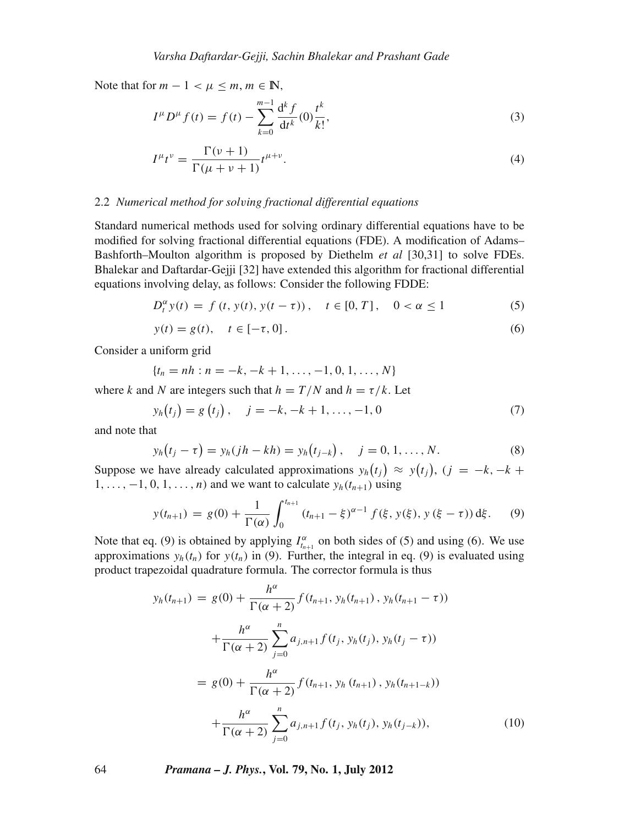Note that for  $m - 1 < u \le m$ ,  $m \in \mathbb{N}$ ,

$$
I^{\mu}D^{\mu}f(t) = f(t) - \sum_{k=0}^{m-1} \frac{d^k f}{dt^k}(0) \frac{t^k}{k!},
$$
\n(3)

$$
I^{\mu}t^{\nu} = \frac{\Gamma(\nu+1)}{\Gamma(\mu+\nu+1)}t^{\mu+\nu}.
$$
\n(4)

### 2.2 *Numerical method for sol*v*ing fractional differential equations*

Standard numerical methods used for solving ordinary differential equations have to be modified for solving fractional differential equations (FDE). A modification of Adams– Bashforth–Moulton algorithm is proposed by Diethelm *et al* [30,31] to solve FDEs. Bhalekar and Daftardar-Gejji [32] have extended this algorithm for fractional differential equations involving delay, as follows: Consider the following FDDE:

$$
D_t^{\alpha} y(t) = f(t, y(t), y(t - \tau)), \quad t \in [0, T], \quad 0 < \alpha \le 1 \tag{5}
$$

$$
y(t) = g(t), \quad t \in [-\tau, 0].
$$
 (6)

Consider a uniform grid

$$
\{t_n = nh : n = -k, -k + 1, \ldots, -1, 0, 1, \ldots, N\}
$$

where *k* and *N* are integers such that  $h = T/N$  and  $h = \tau/k$ . Let

$$
y_h(t_j) = g(t_j), \quad j = -k, -k+1, \dots, -1, 0 \tag{7}
$$

and note that

$$
y_h(t_j - \tau) = y_h(jh - kh) = y_h(t_{j-k}), \quad j = 0, 1, ..., N.
$$
 (8)

Suppose we have already calculated approximations  $y_h(t_j) \approx y(t_j)$ ,  $(j = -k, -k + 1)$  $1, \ldots, -1, 0, 1, \ldots, n$  and we want to calculate  $y_h(t_{n+1})$  using

$$
y(t_{n+1}) = g(0) + \frac{1}{\Gamma(\alpha)} \int_0^{t_{n+1}} (t_{n+1} - \xi)^{\alpha - 1} f(\xi, y(\xi), y(\xi - \tau)) d\xi.
$$
 (9)

Note that eq. (9) is obtained by applying  $I_{t_{n+1}}^{\alpha}$  on both sides of (5) and using (6). We use approximations  $y_h(t_n)$  for  $y(t_n)$  in (9). Further, the integral in eq. (9) is evaluated using product trapezoidal quadrature formula. The corrector formula is thus

$$
y_h(t_{n+1}) = g(0) + \frac{h^{\alpha}}{\Gamma(\alpha+2)} f(t_{n+1}, y_h(t_{n+1}), y_h(t_{n+1}-\tau))
$$
  
+ 
$$
\frac{h^{\alpha}}{\Gamma(\alpha+2)} \sum_{j=0}^n a_{j,n+1} f(t_j, y_h(t_j), y_h(t_j-\tau))
$$
  
= 
$$
g(0) + \frac{h^{\alpha}}{\Gamma(\alpha+2)} f(t_{n+1}, y_h(t_{n+1}), y_h(t_{n+1-k}))
$$
  
+ 
$$
\frac{h^{\alpha}}{\Gamma(\alpha+2)} \sum_{j=0}^n a_{j,n+1} f(t_j, y_h(t_j), y_h(t_{j-k})),
$$
 (10)

64 *Pramana – J. Phys.***, Vol. 79, No. 1, July 2012**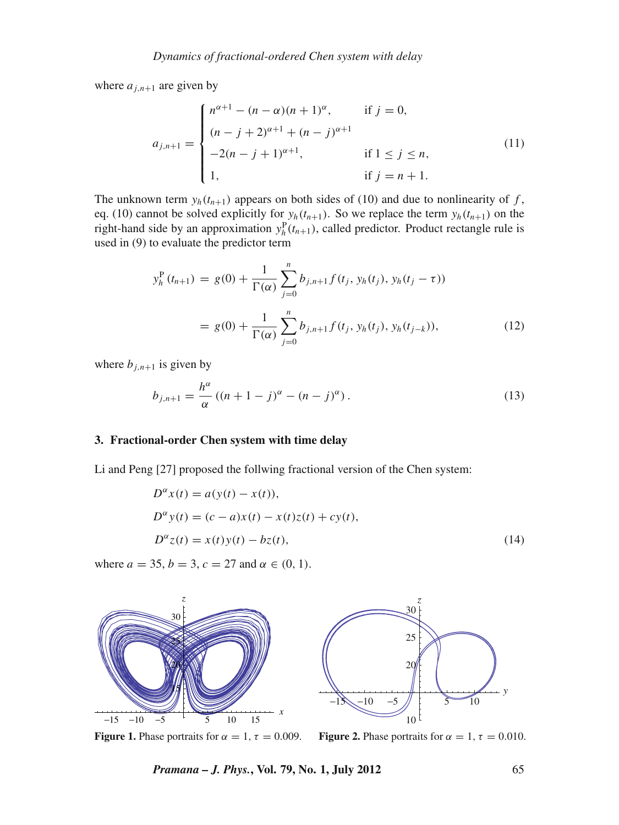where  $a_{i,n+1}$  are given by

$$
a_{j,n+1} = \begin{cases} n^{\alpha+1} - (n - \alpha)(n+1)^{\alpha}, & \text{if } j = 0, \\ (n - j + 2)^{\alpha+1} + (n - j)^{\alpha+1} \\ -2(n - j + 1)^{\alpha+1}, & \text{if } 1 \le j \le n, \\ 1, & \text{if } j = n + 1. \end{cases}
$$
(11)

The unknown term  $y_h(t_{n+1})$  appears on both sides of (10) and due to nonlinearity of *f*, eq. (10) cannot be solved explicitly for  $y_h(t_{n+1})$ . So we replace the term  $y_h(t_{n+1})$  on the right-hand side by an approximation  $y_h^P(t_{n+1})$ , called predictor. Product rectangle rule is used in (9) to evaluate the predictor term

$$
y_h^P(t_{n+1}) = g(0) + \frac{1}{\Gamma(\alpha)} \sum_{j=0}^n b_{j,n+1} f(t_j, y_h(t_j), y_h(t_j - \tau))
$$
  
=  $g(0) + \frac{1}{\Gamma(\alpha)} \sum_{j=0}^n b_{j,n+1} f(t_j, y_h(t_j), y_h(t_{j-k})),$  (12)

where  $b_{i,n+1}$  is given by

$$
b_{j,n+1} = \frac{h^{\alpha}}{\alpha} ((n+1-j)^{\alpha} - (n-j)^{\alpha}).
$$
 (13)

# **3. Fractional-order Chen system with time delay**

Li and Peng [27] proposed the follwing fractional version of the Chen system:

$$
D^{\alpha}x(t) = a(y(t) - x(t)),
$$
  
\n
$$
D^{\alpha}y(t) = (c - a)x(t) - x(t)z(t) + cy(t),
$$
  
\n
$$
D^{\alpha}z(t) = x(t)y(t) - bz(t),
$$
\n(14)

where  $a = 35$ ,  $b = 3$ ,  $c = 27$  and  $\alpha \in (0, 1)$ .





**Figure 1.** Phase portraits for  $\alpha = 1$ ,  $\tau = 0.009$ . **Figure 2.** Phase portraits for  $\alpha = 1$ ,  $\tau = 0.010$ .

*Pramana – J. Phys.***, Vol. 79, No. 1, July 2012** 65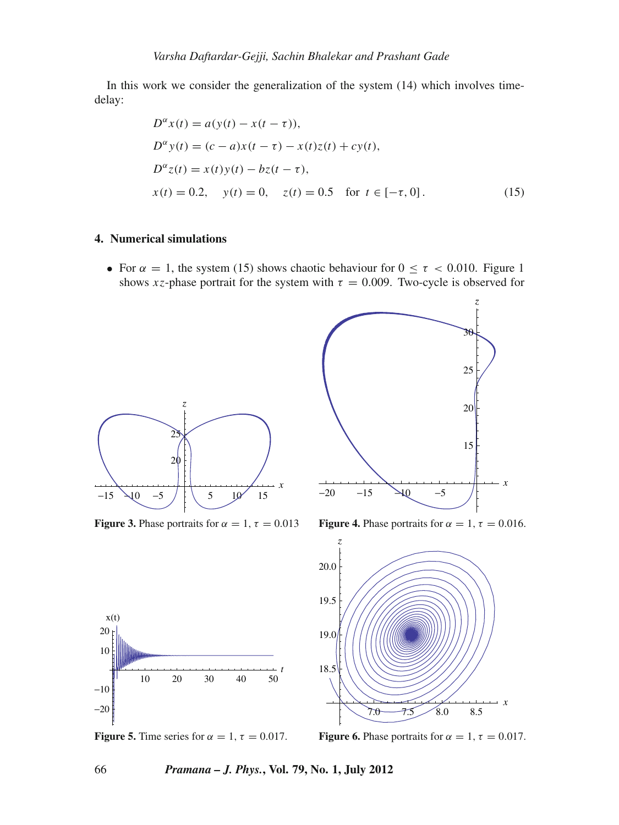In this work we consider the generalization of the system (14) which involves timedelay:

$$
D^{\alpha}x(t) = a(y(t) - x(t - \tau)),
$$
  
\n
$$
D^{\alpha}y(t) = (c - a)x(t - \tau) - x(t)z(t) + cy(t),
$$
  
\n
$$
D^{\alpha}z(t) = x(t)y(t) - bz(t - \tau),
$$
  
\n
$$
x(t) = 0.2, \quad y(t) = 0, \quad z(t) = 0.5 \quad \text{for } t \in [-\tau, 0].
$$
\n(15)

# **4. Numerical simulations**

• For  $\alpha = 1$ , the system (15) shows chaotic behaviour for  $0 \le \tau < 0.010$ . Figure 1 shows *xz*-phase portrait for the system with  $\tau = 0.009$ . Two-cycle is observed for









**Figure 5.** Time series for  $\alpha = 1$ ,  $\tau = 0.017$ . **Figure 6.** Phase portraits for  $\alpha = 1$ ,  $\tau = 0.017$ .



 $7.0$   $7.5$  8.0 8.5  $^{\circ}$  x

66 *Pramana – J. Phys.***, Vol. 79, No. 1, July 2012**

18.5

19.0

19.5

20.0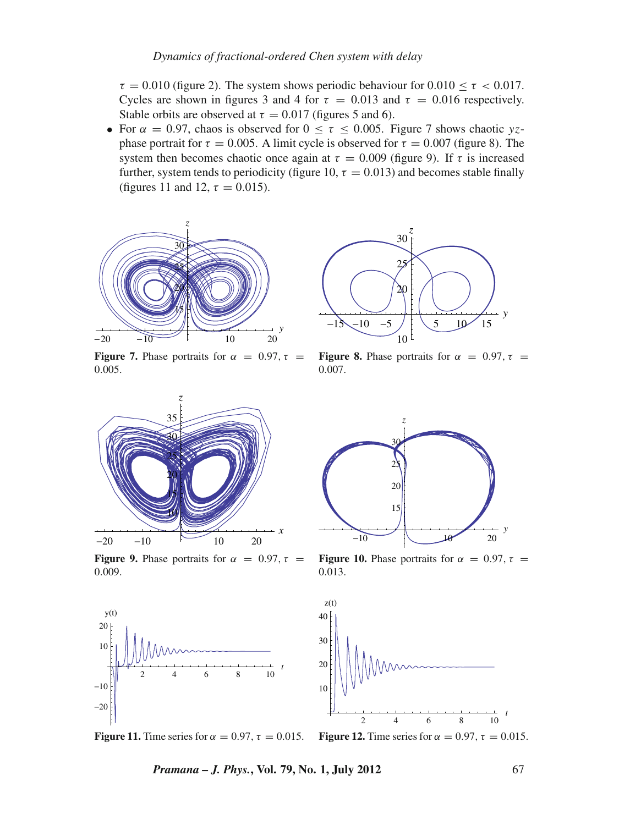## *Dynamics of fractional-ordered Chen system with delay*

 $\tau = 0.010$  (figure 2). The system shows periodic behaviour for  $0.010 \le \tau \le 0.017$ . Cycles are shown in figures 3 and 4 for  $\tau = 0.013$  and  $\tau = 0.016$  respectively. Stable orbits are observed at  $\tau = 0.017$  (figures 5 and 6).

• For  $\alpha = 0.97$ , chaos is observed for  $0 \le \tau \le 0.005$ . Figure 7 shows chaotic *yz*phase portrait for  $\tau = 0.005$ . A limit cycle is observed for  $\tau = 0.007$  (figure 8). The system then becomes chaotic once again at  $\tau = 0.009$  (figure 9). If  $\tau$  is increased further, system tends to periodicity (figure 10,  $\tau = 0.013$ ) and becomes stable finally (figures 11 and 12,  $\tau = 0.015$ ).



**Figure 7.** Phase portraits for  $\alpha = 0.97$ ,  $\tau =$ 0.005.



**Figure 8.** Phase portraits for  $\alpha = 0.97$ ,  $\tau =$ 0.007.



**Figure 9.** Phase portraits for  $\alpha = 0.97$ ,  $\tau =$ 0.009.



**Figure 11.** Time series for  $\alpha = 0.97$ ,  $\tau = 0.015$ . **Figure 12.** Time series for  $\alpha = 0.97$ ,  $\tau = 0.015$ .



**Figure 10.** Phase portraits for  $\alpha = 0.97$ ,  $\tau =$ 0.013.



*Pramana – J. Phys.***, Vol. 79, No. 1, July 2012** 67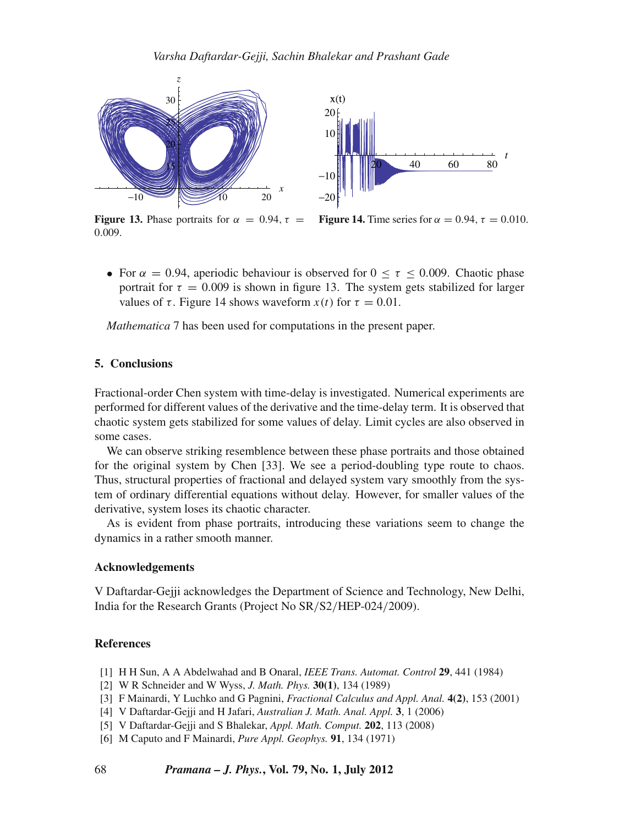

**Figure 13.** Phase portraits for  $\alpha = 0.94$ ,  $\tau =$ 0.009. **Figure 14.** Time series for  $\alpha = 0.94$ ,  $\tau = 0.010$ .

• For  $\alpha = 0.94$ , aperiodic behaviour is observed for  $0 \le \tau \le 0.009$ . Chaotic phase portrait for  $\tau = 0.009$  is shown in figure 13. The system gets stabilized for larger values of  $\tau$ . Figure 14 shows waveform  $x(t)$  for  $\tau = 0.01$ .

*Mathematica* 7 has been used for computations in the present paper.

# **5. Conclusions**

Fractional-order Chen system with time-delay is investigated. Numerical experiments are performed for different values of the derivative and the time-delay term. It is observed that chaotic system gets stabilized for some values of delay. Limit cycles are also observed in some cases.

We can observe striking resemblence between these phase portraits and those obtained for the original system by Chen [33]. We see a period-doubling type route to chaos. Thus, structural properties of fractional and delayed system vary smoothly from the system of ordinary differential equations without delay. However, for smaller values of the derivative, system loses its chaotic character.

As is evident from phase portraits, introducing these variations seem to change the dynamics in a rather smooth manner.

### **Acknowledgements**

V Daftardar-Gejji acknowledges the Department of Science and Technology, New Delhi, India for the Research Grants (Project No SR/S2/HEP-024/2009).

## **References**

- [1] H H Sun, A A Abdelwahad and B Onaral, *IEEE Trans. Automat. Control* **29**, 441 (1984)
- [2] W R Schneider and W Wyss, *J. Math. Phys.* **30(1)**, 134 (1989)
- [3] F Mainardi, Y Luchko and G Pagnini, *Fractional Calculus and Appl. Anal.* **4(2)**, 153 (2001)
- [4] V Daftardar-Gejji and H Jafari, *Australian J. Math. Anal. Appl.* **3**, 1 (2006)
- [5] V Daftardar-Gejji and S Bhalekar, *Appl. Math. Comput.* **202**, 113 (2008)
- [6] M Caputo and F Mainardi, *Pure Appl. Geophys.* **91**, 134 (1971)